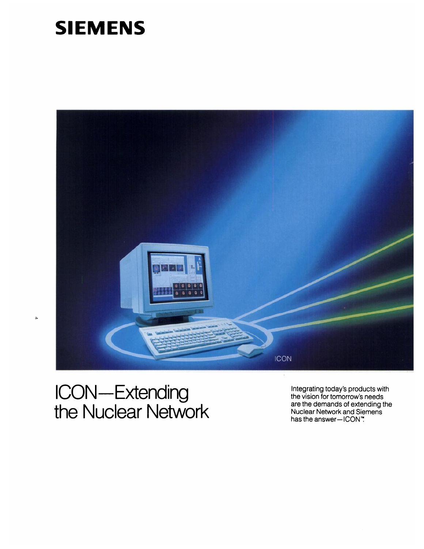## **SIEMENS**



## **ICON—Extending<br>the Nuclear Network**

 $\overline{a}$ 

Integrating today's products with the vision for tomorrow's needs are the demands of extending the Nuclear Network and Siemens<br>has the answer—ICON".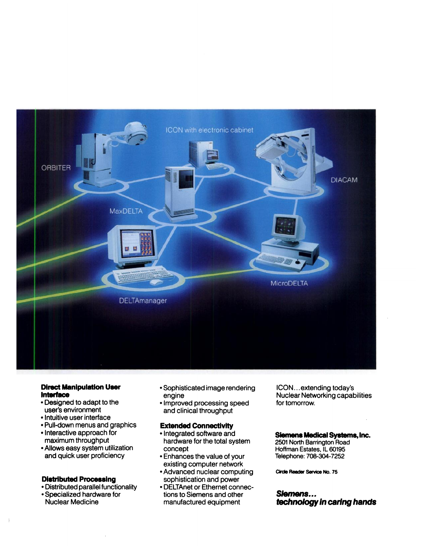

## **Direct Manipulation User** Interface

- Designed to adapt to the user's environment
- Intuitive user interface
- . Pull-down menus and graphics
- Interactive approach for maximum throughput
- Allows easy system utilization and quick user proficiency

#### **Distributed Processing**

- Distributed parallel functionality
- Specialized hardware for **Nuclear Medicine**
- Sophisticated image rendering engine
- Improved processing speed and clinical throughput

## **Extended Connectivity**

- Integrated software and hardware for the total system concept
- Enhances the value of your existing computer network
- Advanced nuclear computing sophistication and power
- DELTAnet or Ethernet connections to Siemens and other manufactured equipment

ICON...extending today's **Nuclear Networking capabilities** for tomorrow.

## **Siemens Medical Systems, Inc.**

2501 North Barrington Road Hoffman Estates, IL 60195 Telephone: 708-304-7252

Circle Reader Service No. 75

## Siemens... technology in caring hands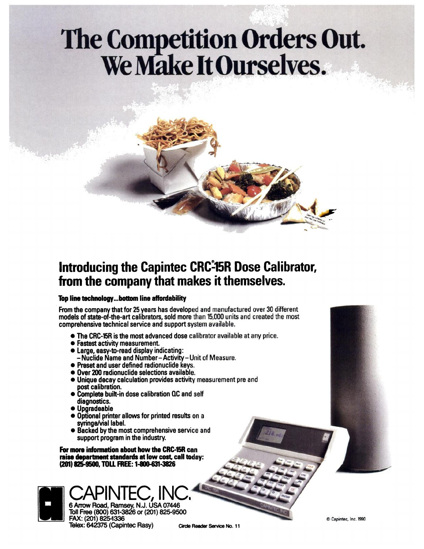# The Competition Orders Out.<br>We Make It Ourselves.



## Introducing the Capintec CRC-15R Dose Calibrator, from the company that makes it themselves.

## Top line technology...bottom line affordability

From the company that for 25 years has developed and manufactured over 30 different models of state-of-the-art calibrators, sold more than 15,000 units and created the most comprehensive technical service and support system available.

- The CRC-15R is the most advanced dose calibrator available at any price.
- Fastest activity measurement.
- · Large, easy-to-read display indicating: - Nuclide Name and Number-Activity-Unit of Measure.
- Preset and user defined radionuclide keys.
- Over 200 radionuclide selections available.
- Unique decay calculation provides activity measurement pre and post calibration.
- Complete built-in dose calibration QC and self diagnostics.
- Upgradeable
- Optional printer allows for printed results on a syringe/vial label.
- Backed by the most comprehensive service and support program in the industry.

For more information about how the CRC-15R can raise department standards at low cost, call today: (201) 825-9500, TOLL FREE: 1-800-631-3826

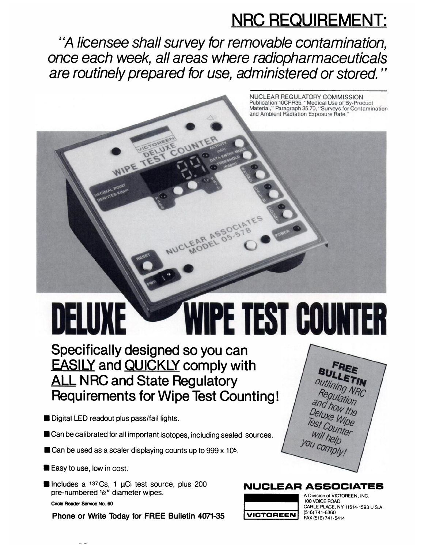## **NRC REQUIREMENT:**

NUCLEAR REGULATORY COMMISSION<br>Publication 10CFR35, "Medical Use of By-Product<br>Material," Paragraph 35.70, "Surveys for Contamination

and Ambient Radiation Exposure Rate."

"A licensee shall survey for removable contamination, once each week, all areas where radiopharmaceuticals are routinely prepared for use, administered or stored."

## IPE TEST COUNTI DELUXE

Specifically designed so you can **EASILY and QUICKLY comply with ALL NRC and State Regulatory Requirements for Wipe Test Counting!** 

- Digital LED readout plus pass/fail lights.
- Can be calibrated for all important isotopes, including sealed sources.
- Can be used as a scaler displaying counts up to 999 x 105.
- Easy to use, low in cost.
- Includes a 137Cs, 1 µCi test source, plus 200 pre-numbered 1/2" diameter wipes.

Circle Reader Service No. 60

Phone or Write Today for FREE Bulletin 4071-35





A Division of VICTOREEN, INC. 100 VOICE ROAD CARLE PLACE, NY 11514-1593 U.S.A. (516) 741-6360 FAX (516) 741-5414

**NUCLEAR ASSOCIATES**